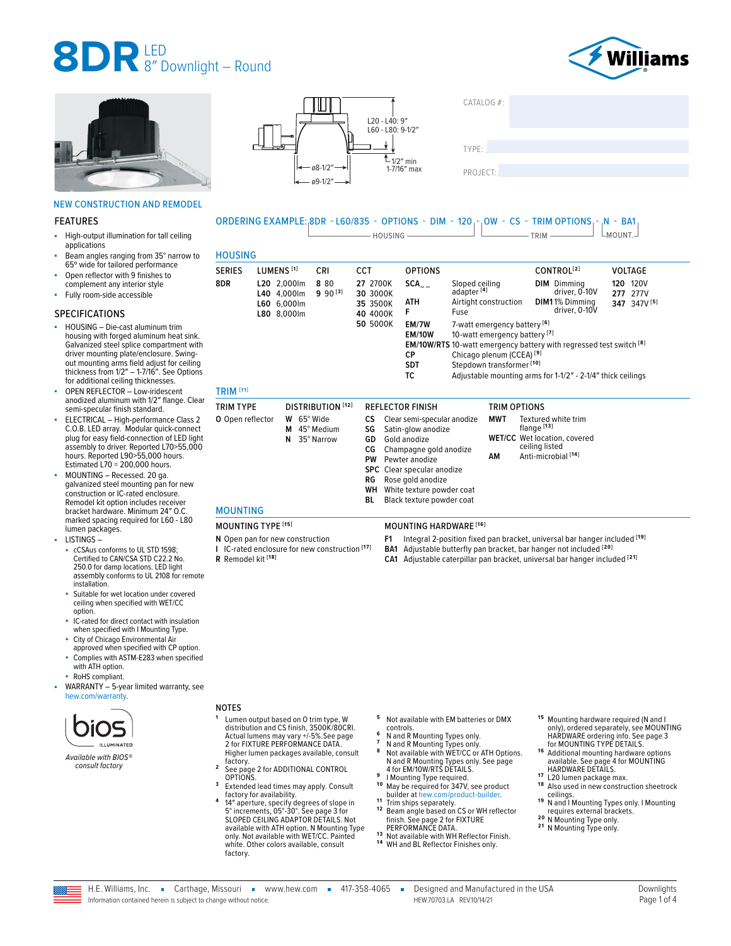



### NEW CONSTRUCTION AND REMODEL

#### FEATURES

- High-output illumination for tall ceiling applications
- Beam angles ranging from 35° narrow to 65º wide for tailored performance
- Open reflector with 9 finishes to complement any interior style
- Fully room-side accessible

#### SPECIFICATIONS

- HOUSING Die-cast aluminum trim housing with forged aluminum heat sink. Galvanized steel splice compartment with driver mounting plate/enclosure. Swingout mounting arms field adjust for ceiling thickness from 1/2″ – 1-7/16″. See Options for additional ceiling thicknesses.
- OPEN REFLECTOR Low-iridescent anodized aluminum with 1/2″ flange. Clear semi-specular finish standard.
- ELECTRICAL High-performance Class 2 C.O.B. LED array. Modular quick-connect plug for easy field-connection of LED light assembly to driver. Reported L70>55,000 hours. Reported L90>55,000 hours. Estimated L70 = 200,000 hours.
- MOUNTING Recessed. 20 ga. galvanized steel mounting pan for new construction or IC-rated enclosure. Remodel kit option includes receiver bracket hardware. Minimum 24″ O.C. marked spacing required for L60 - L80 lumen packages.
- LISTINGS cCSAus conforms to UL STD 1598: Certified to CAN/CSA STD C22.2 No. 250.0 for damp locations. LED light assembly conforms to UL 2108 for remote installation.
- Suitable for wet location under covered ceiling when specified with WET/CC option.
- IC-rated for direct contact with insulation when specified with I Mounting Type.
- City of Chicago Environmental Air approved when specified with CP option.
- Complies with ASTM-E283 when specified with ATH option.
- RoHS compliant.
- WARRANTY 5-year limited warranty, see [hew.com/warranty.](https://www.hew.com/resources/warranty-and-terms)



*Available with BIOS® consult factory*



 $CATAI OG \#$ 

TYPE: ����������������������������������������������������



| UNDENINU EARMI EE.10DN                   |                       |                                                          | LUVIUJJ.                           |                                                                        | <u>UI IIUIIJ</u><br><b>PINE</b><br>- HOUSING —————                                                                                                 | $\sim$                                                                                                                                                                                               | <b>VV</b><br>ັບປ | $\overline{\phantom{a}}$ TRIM $\overline{\phantom{a}}$                                                                                                                                                                                                                                    | Pos<br>$L$ MOUNT. $-$                                 |
|------------------------------------------|-----------------------|----------------------------------------------------------|------------------------------------|------------------------------------------------------------------------|----------------------------------------------------------------------------------------------------------------------------------------------------|------------------------------------------------------------------------------------------------------------------------------------------------------------------------------------------------------|------------------|-------------------------------------------------------------------------------------------------------------------------------------------------------------------------------------------------------------------------------------------------------------------------------------------|-------------------------------------------------------|
| <b>HOUSING</b>                           |                       |                                                          |                                    |                                                                        |                                                                                                                                                    |                                                                                                                                                                                                      |                  |                                                                                                                                                                                                                                                                                           |                                                       |
| <b>SERIES</b><br>8DR<br><b>TRIM [11]</b> | LUMENS <sup>[1]</sup> | L20 2,000lm<br>L40 4,000lm<br>L60 6,000lm<br>L80 8,000lm | <b>CRI</b><br>8 80<br>$9.90^{[3]}$ | <b>CCT</b><br>27 2700K<br>30 3000K<br>35 3500K<br>40 4000K<br>50 5000K | <b>OPTIONS</b><br>SCA<br>ATH<br>F<br>EM/7W<br><b>EM/10W</b><br><b>CP</b><br><b>SDT</b><br>ТC                                                       | Sloped ceiling<br>adapter <sup>[4]</sup><br>Airtight construction<br>Fuse<br>7-watt emergency battery <sup>[6]</sup><br>Chicago plenum (CCEA) <sup>[9]</sup><br>Stepdown transformer <sup>[10]</sup> |                  | CONTROL <sup>[2]</sup><br><b>DIM</b> Dimming<br>driver, 0-10V<br>DIM11% Dimming<br>driver, 0-10V<br>10-watt emergency battery <sup>[7]</sup><br><b>EM/10W/RTS</b> 10-watt emergency battery with regressed test switch [8]<br>Adjustable mounting arms for 1-1/2" - 2-1/4" thick ceilings | VOLTAGE<br>120V<br>120<br>277V<br>277<br>347 347V [5] |
| <b>TRIM TYPE</b>                         |                       |                                                          | <b>DISTRIBUTION</b> [12]           |                                                                        | <b>REFLECTOR FINISH</b>                                                                                                                            |                                                                                                                                                                                                      | TRIM OPTIONS     |                                                                                                                                                                                                                                                                                           |                                                       |
| O Open reflector                         |                       | W 65° Wide<br>М<br>N                                     | 45° Medium<br>35° Narrow           | CS.<br>SG<br>GD<br>СG<br>PW                                            | Clear semi-specular anodize<br>Satin-glow anodize<br>Gold anodize<br>Champagne gold anodize<br>Pewter anodize<br><b>SPC</b> Clear specular anodize |                                                                                                                                                                                                      | MWT<br>АM        | Textured white trim<br>flange <sup>[13]</sup><br><b>WET/CC</b> Wet location, covered<br>ceiling listed<br>Anti-microbial <sup>[14]</sup>                                                                                                                                                  |                                                       |

- 
- **RG** Rose gold anodize<br>**WH** White texture power White texture powder coat
- **BL** Black texture powder coat
- 

## MOUNTING TYPE **[15]** MOUNTING HARDWARE **[16]**

- **F1** Integral 2-position fixed pan bracket, universal bar hanger included **[19]**
- **BA1** Adjustable butterfly pan bracket, bar hanger not included **[20]**
- 
- **CA1** Adjustable caterpillar pan bracket, universal bar hanger included **[21]**

- <sup>5</sup> Not available with EM batteries or DMX controls.
- 
- 
- **6** N and R Mounting Types only.<br>**7** N and R Mounting Types only.<br>**8** Not available with WET/CC or ATH Options. Not available with WET/CC of ATH Option<br>N and R Mounting Types only. See page<br>4 for EM/10W/RTS DETAILS.
- 
- 9 **I Mounting Type required.**<br><sup>10</sup> May be required for 347V, see product<br>builder at hew.com/product-builder.
- <sup>11</sup> Trim ships separately.<br><sup>12</sup> Beam angle based on CS or WH reflector Frame and See page 2 for FIXTURE<br>PERFORMANCE DATA.
- 13 Not available with WH Reflector Finish.<br>14 WH and BL Reflector Finishes only.
- 

15 Mounting hardware required (N and I only), ordered separately, see MOUNTING HARDWARE ordering info. [See page 3](#page-2-1) 

- [for MOUNTING TYPE DETAILS.](#page-2-1)<br><sup>16</sup> Additional mounting hardware options<br>available. See page 4 for MOUNTING
- 
- 17 L20 lumen package max.<br> **18** Also used in new construction sheetrock **19** N and I Mounting Types only. I Mounting<br>**19** N and I Mounting Types only. I Mounting<br>requires external brackets.
- 
- requires external brackets. **2 0** N Mounting Type only. **2 1** N Mounting Type only.

factory.



<sup>2</sup> See page 2 for ADDITIONAL CONTROL<br>OPTIONS. <sup>3</sup> Extended lead times may apply. Consult<br>factory for availability. factory for availability. **<sup>4</sup>** 14″ aperture, specify degrees of slope in 5° increments, 05°-30°. [See page 3 for](#page-2-0)  [SLOPED CEILING ADAPTOR DETAILS.](#page-2-0) Not available with ATH option. N Mounting Type only. Not available with WET/CC. Painted white. Other colors available, consult

MOUNTING

**R** Remodel kit **[18]**

**N** Open pan for new construction **I** IC-rated enclosure for new construction **[17]**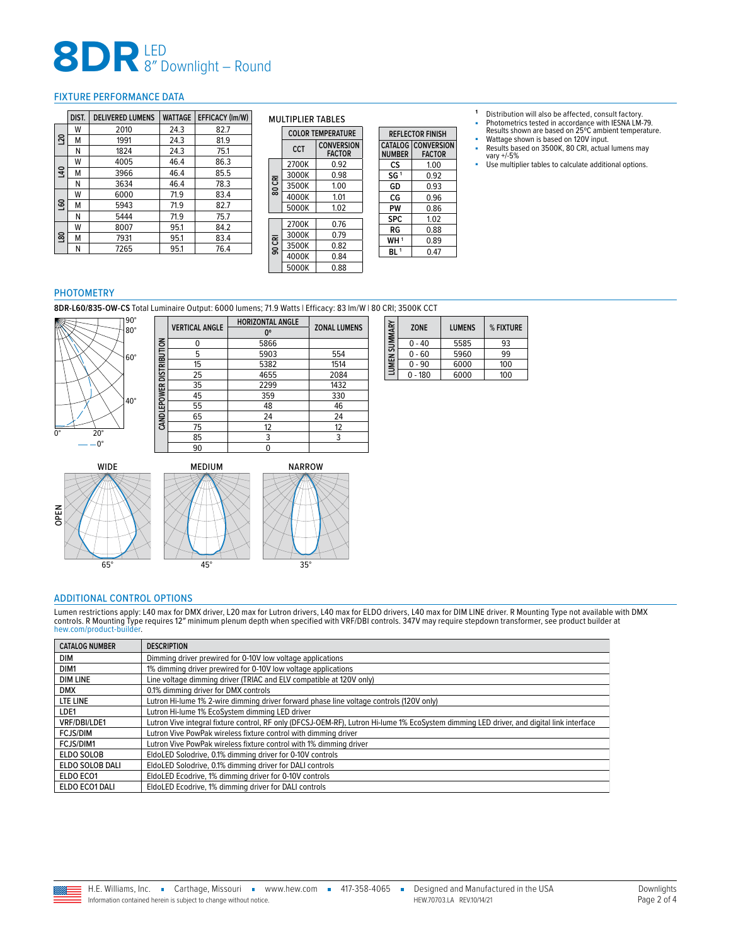### <span id="page-1-0"></span>FIXTURE PERFORMANCE DATA

|                | DIST. | <b>DELIVERED LUMENS</b> | <b>WATTAGE</b> | <b>EFFICACY (Im/W)</b> |
|----------------|-------|-------------------------|----------------|------------------------|
| 20             | W     | 2010                    | 24.3           | 82.7                   |
|                | м     | 1991                    | 24.3           | 81.9                   |
|                | Ν     | 1824                    | 24.3           | 75.1                   |
|                | W     | 4005                    | 46.4           | 86.3                   |
| $\overline{a}$ | м     | 3966                    | 46.4           | 85.5                   |
|                | N     | 3634                    | 46.4           | 78.3                   |
|                | W     | 6000                    | 71.9           | 83.4                   |
| <b>GO</b>      | м     | 5943                    | 71.9           | 82.7                   |
|                | N     | 5444                    | 71.9           | 75.7                   |
|                | W     | 8007                    | 95.1           | 84.2                   |
| ຂຸ             | м     | 7931                    | 95.1           | 83.4                   |
|                | Ν     | 7265                    | 95.1           | 76.4                   |

**CANDLEPOWER DISTRIBUTION**

CANDLEPOWER DISTRIBUTION

MULTIPLIER TABLES

|        | <b>COLOR TEMPERATURE</b> |                                    |  | <b>REFLECTOR FINISH</b> |                                            |  |  |
|--------|--------------------------|------------------------------------|--|-------------------------|--------------------------------------------|--|--|
|        | CCT                      | <b>CONVERSION</b><br><b>FACTOR</b> |  | <b>NUMBER</b>           | <b>CATALOG CONVERSION</b><br><b>FACTOR</b> |  |  |
|        | 2700K                    | 0.92                               |  | CS                      | 1.00                                       |  |  |
|        | 3000K                    | 0.98                               |  | SG <sup>1</sup>         | 0.92                                       |  |  |
| 80 CRI | 3500K                    | 1.00                               |  | GD                      | 0.93                                       |  |  |
|        | 4000K                    | 1.01                               |  | CG                      | 0.96                                       |  |  |
|        | 5000K                    | 1.02                               |  | PW                      | 0.86                                       |  |  |
|        | 2700K                    | 0.76                               |  | <b>SPC</b>              | 1.02                                       |  |  |
| 90 CRI | 3000K                    |                                    |  | RG                      | 0.88                                       |  |  |
|        |                          | 0.79                               |  | WH <sup>1</sup>         | 0.89                                       |  |  |
|        | 3500K                    | 0.82                               |  | BL <sup>1</sup>         | 0.47                                       |  |  |
|        | 4000K                    | 0.84                               |  |                         |                                            |  |  |
|        | 5000K                    | 0.88                               |  |                         |                                            |  |  |

**ZONE LUMENS % FIXTURE** 0 - 40 5585 93<br>0 - 60 5960 99 0 - 60 5960 99<br>0 - 90 6000 100

 $\begin{array}{|c|c|c|}\n\hline\n6000 & 100 \\
\hline\n6000 & 100\n\end{array}$ 

**LUMEN SUMMARY**

LUMEN SUMMARY

 $0 - 180$ 

**<sup>1</sup>** Distribution will also be affected, consult factory.

- Photometrics tested in accordance with IESNA LM-79. Results shown are based on 25ºC ambient temperature.
- Wattage shown is based on 120V input.<br>■ Results based on 3500K 80 CRL actual
- Results based on 3500K, 80 CRI, actual lumens may vary +/-5%
- Use multiplier tables to calculate additional options.

#### PHOTOMETRY

**8DR-L60/835-OW-CS** Total Luminaire Output: 6000 lumens; 71.9 Watts | Efficacy: 83 lm/W | 80 CRI; 3500K CCT



| <b>VERTICAL ANGLE</b> | <b>HORIZONTAL ANGLE</b> | <b>ZONAL LUMENS</b> |  |
|-----------------------|-------------------------|---------------------|--|
|                       | 0°                      |                     |  |
| U                     | 5866                    |                     |  |
| 5                     | 5903                    | 554                 |  |
| 15                    | 5382                    | 1514                |  |
| 25                    | 4655                    | 2084                |  |
| 35                    | 2299                    | 1432                |  |
| 45                    | 359                     | 330                 |  |
| 55                    | 48                      | 46                  |  |
| 65                    | 24                      | 24                  |  |
| 75                    | 12                      | 12                  |  |
| 85                    | 3                       | 3                   |  |
| 90                    |                         |                     |  |





### <span id="page-1-1"></span>ADDITIONAL CONTROL OPTIONS

Lumen restrictions apply: L40 max for DMX driver, L20 max for Lutron drivers, L40 max for ELDO drivers, L40 max for DIM LINE driver. R Mounting Type not available with DMX<br>controls. R Mounting Type requires 12″ minimum ple [hew.com/product-builder.](https://ws1.hew.com/config?series=8DR)

| <b>CATALOG NUMBER</b> | <b>DESCRIPTION</b>                                                                                                                       |
|-----------------------|------------------------------------------------------------------------------------------------------------------------------------------|
| <b>DIM</b>            | Dimming driver prewired for 0-10V low voltage applications                                                                               |
| DIM <sub>1</sub>      | 1% dimming driver prewired for 0-10V low voltage applications                                                                            |
| <b>DIM LINE</b>       | Line voltage dimming driver (TRIAC and ELV compatible at 120V only)                                                                      |
| <b>DMX</b>            | 0.1% dimming driver for DMX controls                                                                                                     |
| LTE LINE              | Lutron Hi-lume 1% 2-wire dimming driver forward phase line voltage controls (120V only)                                                  |
| LDE1                  | Lutron Hi-lume 1% EcoSystem dimming LED driver                                                                                           |
| VRF/DBI/LDE1          | Lutron Vive integral fixture control, RF only (DFCSJ-OEM-RF), Lutron Hi-lume 1% EcoSystem dimming LED driver, and digital link interface |
| <b>FCJS/DIM</b>       | Lutron Vive PowPak wireless fixture control with dimming driver                                                                          |
| FCJS/DIM1             | Lutron Vive PowPak wireless fixture control with 1% dimming driver                                                                       |
| ELDO SOLOB            | EldoLED Solodrive, 0.1% dimming driver for 0-10V controls                                                                                |
| ELDO SOLOB DALI       | EldoLED Solodrive, 0.1% dimming driver for DALI controls                                                                                 |
| ELDO ECO1             | EldoLED Ecodrive, 1% dimming driver for 0-10V controls                                                                                   |
| ELDO ECO1 DALI        | EldoLED Ecodrive, 1% dimming driver for DALI controls                                                                                    |

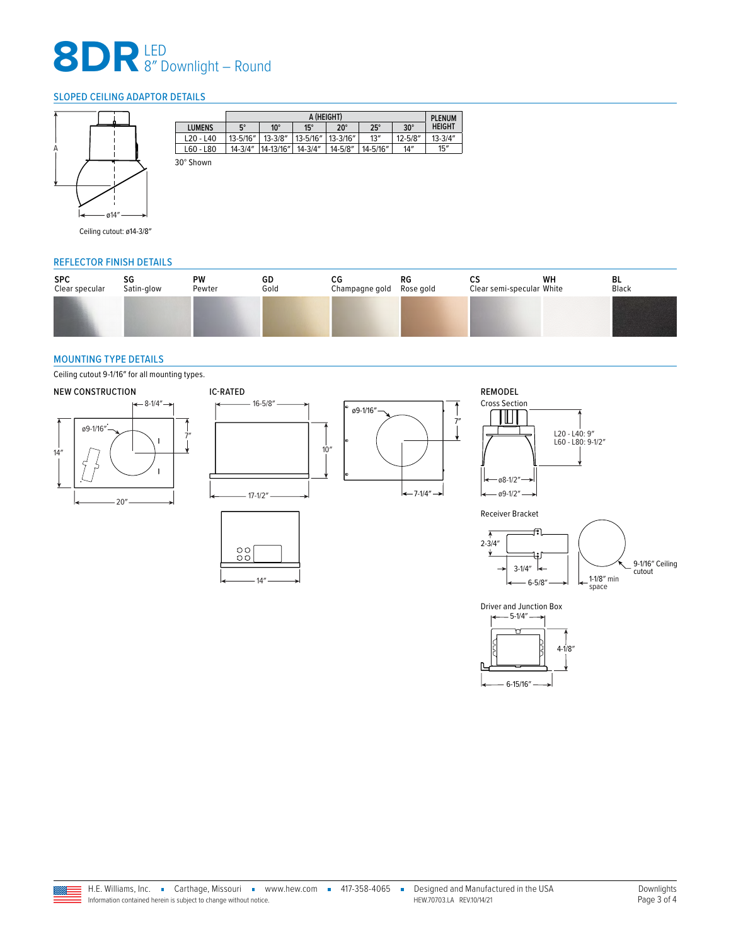## <span id="page-2-0"></span>SLOPED CEILING ADAPTOR DETAILS



|               | A (HEIGHT)<br><b>PLENUM</b> |              |             |               |              |             |               |  |
|---------------|-----------------------------|--------------|-------------|---------------|--------------|-------------|---------------|--|
| <b>LUMENS</b> | $5^\circ$                   | $10^{\circ}$ | $15^\circ$  | $20^{\circ}$  | $25^{\circ}$ | $30^\circ$  | <b>HEIGHT</b> |  |
| $L20 - L40$   | 13-5/16"                    | $13 - 3/8"$  | 13-5/16"    | $13 - 3/16''$ | 13''         | $12 - 5/8"$ | $13 - 3/4"$   |  |
| L60 - L80     | $14 - 3/4"$                 | 14-13/16"    | $14 - 3/4"$ | $14 - 5/8"$   | 14-5/16"     | 14''        | 15''          |  |
| 30° Shown     |                             |              |             |               |              |             |               |  |

Ceiling cutout: ø14-3/8″

## REFLECTOR FINISH DETAILS

| <b>SPC</b>     | SG         | <b>PW</b> | GD   | СG             | RG        | ື                         | WH | BL    |
|----------------|------------|-----------|------|----------------|-----------|---------------------------|----|-------|
| Clear specular | Satin-glow | Pewter    | Gold | Champagne gold | Rose gold | Clear semi-specular White |    | Black |
|                |            |           |      |                |           |                           |    |       |

٦

### <span id="page-2-1"></span>MOUNTING TYPE DETAILS

Ceiling cutout 9-1/16″ for all mounting types.